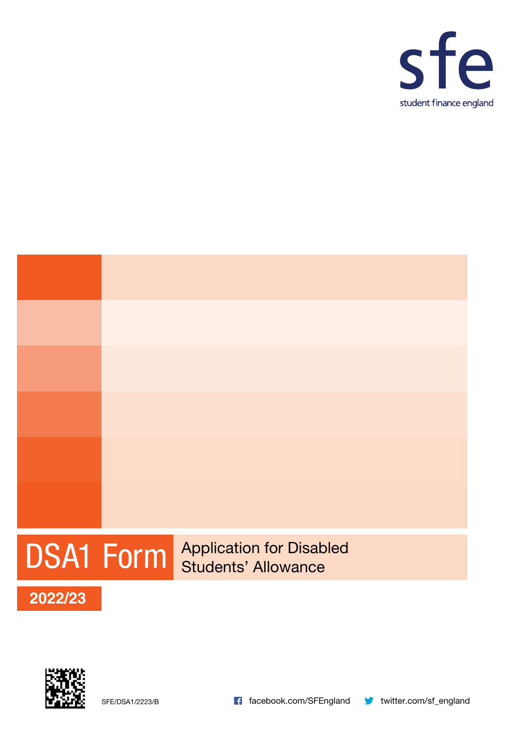



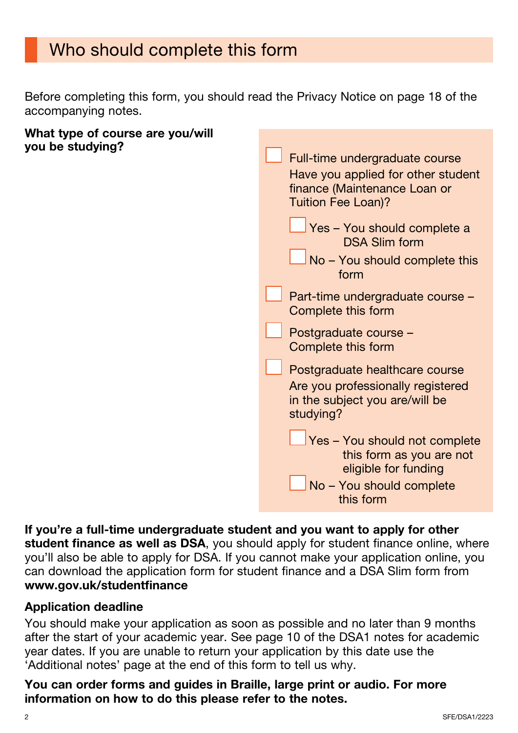# Who should complete this form

Before completing this form, you should read the Privacy Notice on page 18 of the accompanying notes.

#### What type of course are you/will you be studying?

| Full-time undergraduate course<br>Have you applied for other student<br>finance (Maintenance Loan or<br><b>Tuition Fee Loan)?</b> |
|-----------------------------------------------------------------------------------------------------------------------------------|
| Yes - You should complete a<br><b>DSA Slim form</b><br>No - You should complete this                                              |
| form<br>Part-time undergraduate course -                                                                                          |
| Complete this form<br>Postgraduate course -                                                                                       |
| Complete this form<br>Postgraduate healthcare course                                                                              |
| Are you professionally registered<br>in the subject you are/will be<br>studying?                                                  |
| Yes - You should not complete<br>this form as you are not<br>eligible for funding<br>No - You should complete<br>this form        |

#### If you're a full-time undergraduate student and you want to apply for other student finance as well as DSA, you should apply for student finance online, where you'll also be able to apply for DSA. If you cannot make your application online, you can download the application form for student finance and a DSA Slim form from [www.gov.uk/studentfinance](http://www.gov.uk/studentfinance)

#### Application deadline

You should make your application as soon as possible and no later than 9 months after the start of your academic year. See page 10 of the DSA1 notes for academic year dates. If you are unable to return your application by this date use the 'Additional notes' page at the end of this form to tell us why.

#### You can order forms and guides in Braille, large print or audio. For more information on how to do this please refer to the notes.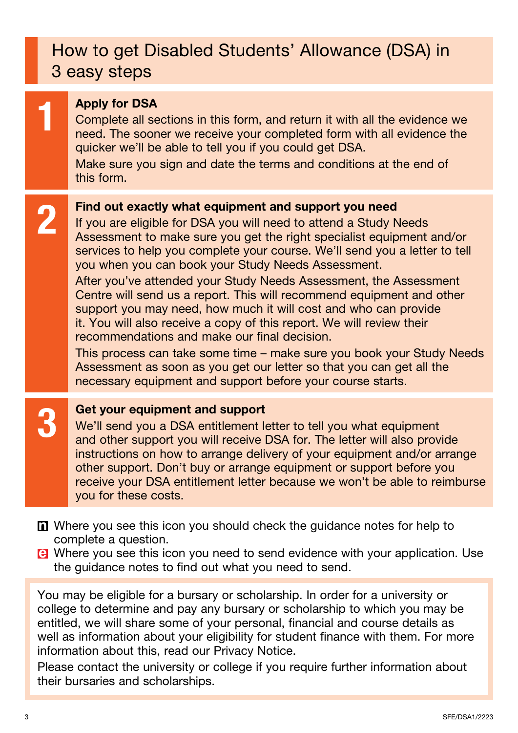# How to get Disabled Students' Allowance (DSA) in 3 easy steps

**1 Apply for DSA**<br>Complete all se<br>need. The soor Complete all sections in this form, and return it with all the evidence we need. The sooner we receive your completed form with all evidence the quicker we'll be able to tell you if you could get DSA.

Make sure you sign and date the terms and conditions at the end of this form.

**2** Find out exactly what equipment and support you need<br>If you are eligible for DSA you will need to attend a Study N If you are eligible for DSA you will need to attend a Study Needs Assessment to make sure you get the right specialist equipment and/or services to help you complete your course. We'll send you a letter to tell you when you can book your Study Needs Assessment.

After you've attended your Study Needs Assessment, the Assessment Centre will send us a report. This will recommend equipment and other support you may need, how much it will cost and who can provide it. You will also receive a copy of this report. We will review their recommendations and make our final decision.

This process can take some time – make sure you book your Study Needs Assessment as soon as you get our letter so that you can get all the necessary equipment and support before your course starts.

#### Get your equipment and support

We'll send you a DSA entitlement letter to tell you what equipment and other support you will receive DSA for. The letter will also provide instructions on how to arrange delivery of your equipment and/or arrange other support. Don't buy or arrange equipment or support before you receive your DSA entitlement letter because we won't be able to reimburse you for these costs.

- Where you see this icon you should check the guidance notes for help to complete a question.
- Where you see this icon you need to send evidence with your application. Use the guidance notes to find out what you need to send.

You may be eligible for a bursary or scholarship. In order for a university or college to determine and pay any bursary or scholarship to which you may be entitled, we will share some of your personal, financial and course details as well as information about your eligibility for student finance with them. For more information about this, read our Privacy Notice.

Please contact the university or college if you require further information about their bursaries and scholarships.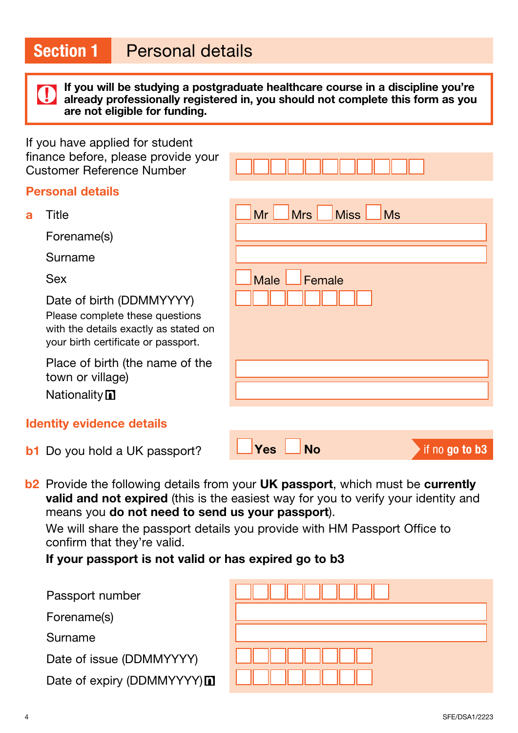If you will be studying a postgraduate healthcare course in a discipline you're already professionally registered in, you should not complete this form as you are not eligible for funding.

If you have applied for student finance before, please provide your Customer Reference Number

#### Personal details

a Title <mark>\_\_</mark>Mr \_\_<mark>Mrs \_\_Miss \_\_Ms</mark>

Forename(s)

Surname

Sex **Male Female** 

Date of birth (DDMMYYYY)

Please complete these questions with the details exactly as stated on your birth certificate or passport.

Place of birth (the name of the town or village)

**Nationality** 

### Identity evidence details

**b1** Do you hold a UK passport?

| $\Box$ Yes $\Box$ No | if no go to b3 |
|----------------------|----------------|
|                      |                |

b<sub>2</sub> Provide the following details from your UK passport, which must be currently **valid and not expired** (this is the easiest way for you to verify your identity and means you do not need to send us your passport).

We will share the passport details you provide with HM Passport Office to confirm that they're valid.

If your passport is not valid or has expired go to b3

Passport number

Forename(s)

Surname

Date of issue (DDMMYYYY)

Date of expiry (DDMMYYYY)

|  | . |  |
|--|---|--|
|  |   |  |
|  |   |  |
|  | . |  |
|  | . |  |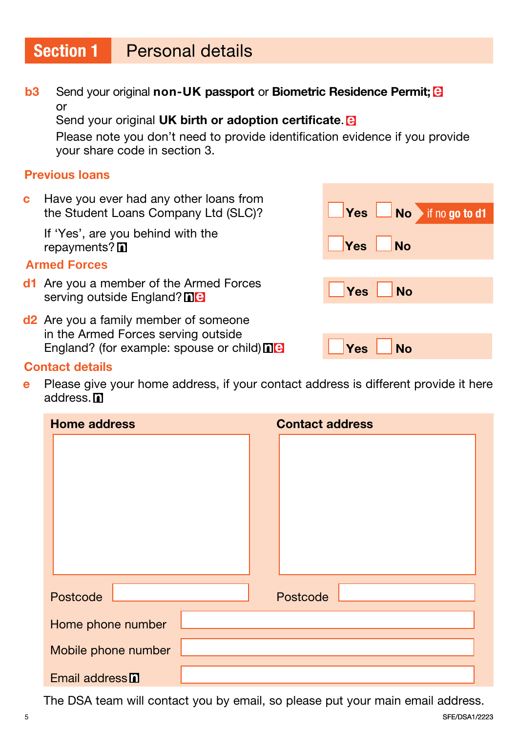# Section 1 Personal details

**b3** Send your original non-UK passport or Biometric Residence Permit; **B** or

Send your original UK birth or adoption certificate. **B** 

 Please note you don't need to provide identification evidence if you provide your share code in section 3.

#### Previous loans

c Have you ever had any other loans from the Student Loans Company Ltd (SLC)? **The Student Loans Company Ltd (SLC)? No Yes No** if no go to d1

If 'Yes', are you behind with the repayments? and the set of the set of the set of the set of the set of the set of the set of the set of the set of the set of the set of the set of the set of the set of the set of the set of the set of the set of the set

#### **Armed Forces**

- d1 Are you a member of the Armed Forces serving outside England? The Million State of the Serving outside England? The
- d<sup>2</sup> Are you a family member of someone in the Armed Forces serving outside England? (for example: spouse or child) Yes No

#### Contact details

e Please give your home address, if your contact address is different provide it here address. **n** 

| <b>Home address</b>        | <b>Contact address</b> |  |
|----------------------------|------------------------|--|
|                            |                        |  |
|                            |                        |  |
|                            |                        |  |
|                            |                        |  |
|                            |                        |  |
|                            |                        |  |
|                            |                        |  |
| Postcode                   | Postcode               |  |
| Home phone number          |                        |  |
| Mobile phone number        |                        |  |
| Email address <sup>n</sup> |                        |  |

The DSA team will contact you by email, so please put your main email address.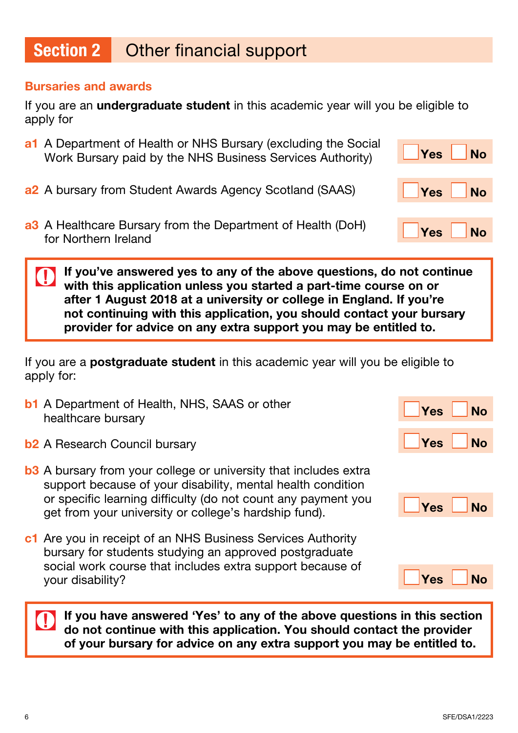#### Bursaries and awards

If you are an **undergraduate student** in this academic year will you be eligible to apply for

- a1 A Department of Health or NHS Bursary (excluding the Social Work Bursary paid by the NHS Business Services Authority) **The Ves No**
- a2 A bursary from Student Awards Agency Scotland (SAAS) Ves No
- a3 A Healthcare Bursary from the Department of Health (DoH) For Northern Ireland  $\overline{X}$  and  $\overline{Y}$  and  $\overline{Y}$  and  $\overline{Y}$  and  $\overline{Y}$  and  $\overline{Y}$  and  $\overline{Y}$  and  $\overline{Y}$  and  $\overline{Y}$  and  $\overline{Y}$  and  $\overline{Y}$  and  $\overline{Y}$  and  $\overline{Y}$  and  $\overline{Y}$  and  $\overline{Y}$  and  $\overline{$

If you've answered yes to any of the above questions, do not continue with this application unless you started a part-time course on or after 1 August 2018 at a university or college in England. If you're not continuing with this application, you should contact your bursary provider for advice on any extra support you may be entitled to.

If you are a **postgraduate student** in this academic year will you be eligible to apply for:

- **b1** A Department of Health, NHS, SAAS or other A Department of Health, NHO, OAAO OF Other<br>healthcare bursary
- b2 A Research Council bursary Yes No
- **b3** A bursary from your college or university that includes extra support because of your disability, mental health condition or specific learning difficulty (do not count any payment you get from your university or college's hardship fund).
- c1 Are you in receipt of an NHS Business Services Authority bursary for students studying an approved postgraduate social work course that includes extra support because of your disability? The state of the state of the state of the state of the state of the state of the state of the state of the state of the state of the state of the state of the state of the state of the state of the state

If you have answered 'Yes' to any of the above questions in this section do not continue with this application. You should contact the provider of your bursary for advice on any extra support you may be entitled to.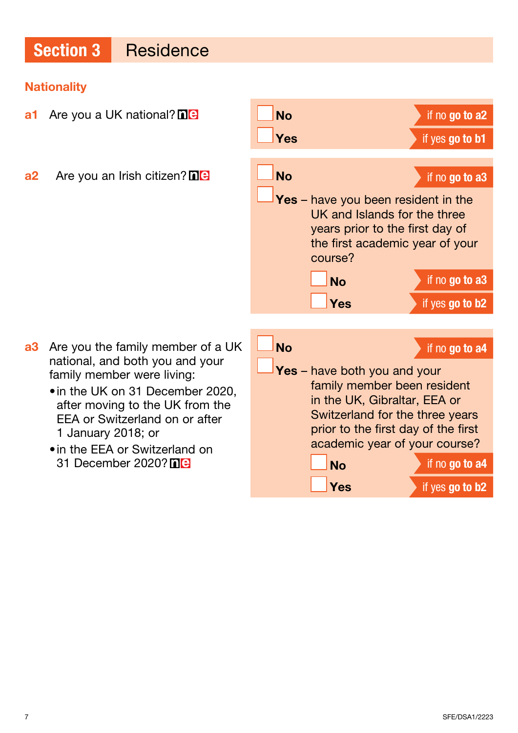#### **Nationality**

- **a1** Are you a UK national?  $\Box$  **No** if no go to a2 **Yes** if yes go to b1  $a2$  Are you an Irish citizen?  $\Box$  **No** if no go to a3 course? a3 Are you the family member of a UK national, and both you and your family member were living:
	- •in the UK on 31 December 2020, after moving to the UK from the EEA or Switzerland on or after 1 January 2018; or
	- •in the EEA or Switzerland on 31 December 2020? **ne**

Yes – have you been resident in the UK and Islands for the three years prior to the first day of the first academic year of your  $N<sub>O</sub>$  if no go to a3 Yes if yes go to b2 No if no go to a4 Yes - have both you and your family member been resident in the UK, Gibraltar, EEA or Switzerland for the three years prior to the first day of the first academic year of your course? No if no go to a4 Yes if yes go to b2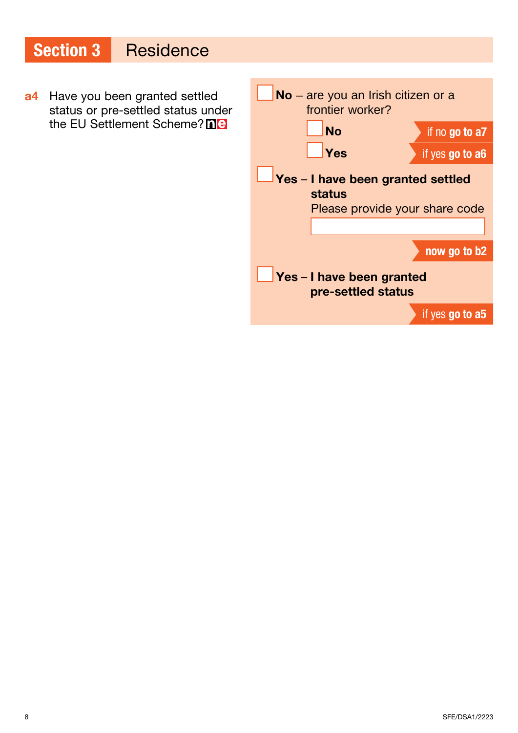### Section 3 Residence a4 Have you been granted settled status or pre-settled status under the EU Settlement Scheme? ne No – are you an Irish citizen or a frontier worker? No if no go to a7 Yes if yes go to a6 Yes - I have been granted settled status Please provide your share code now go to b2 Yes - I have been granted pre-settled status if yes go to a5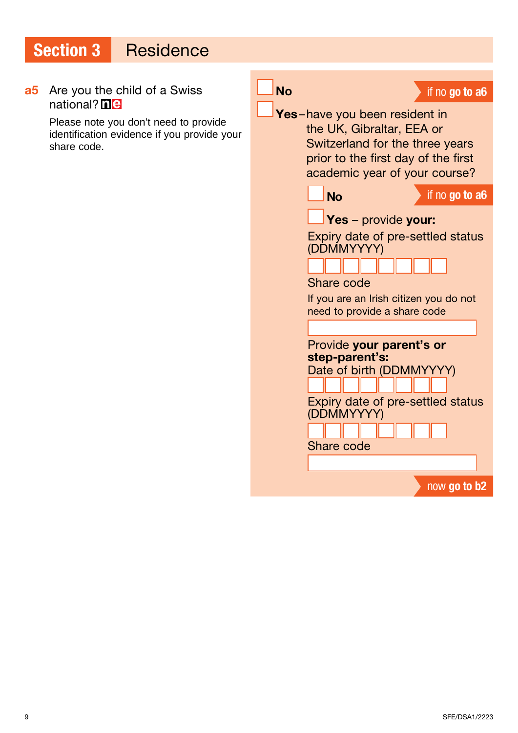a5 Are you the child of a Swiss national? **ne** Please note you don't need to provide identification evidence if you provide your share code. No if no go to a6 Yes-have you been resident in the UK, Gibraltar, EEA or Switzerland for the three years prior to the first day of the first academic year of your course? No if no go to a6 Yes - provide your: Expiry date of pre-settled status (DDMMYYYY) Share code If you are an Irish citizen you do not need to provide a share code Provide your parent's or step-parent's: Date of birth (DDMMYYYY) Expiry date of pre-settled status (DDMMYYYY) Share code now go to b2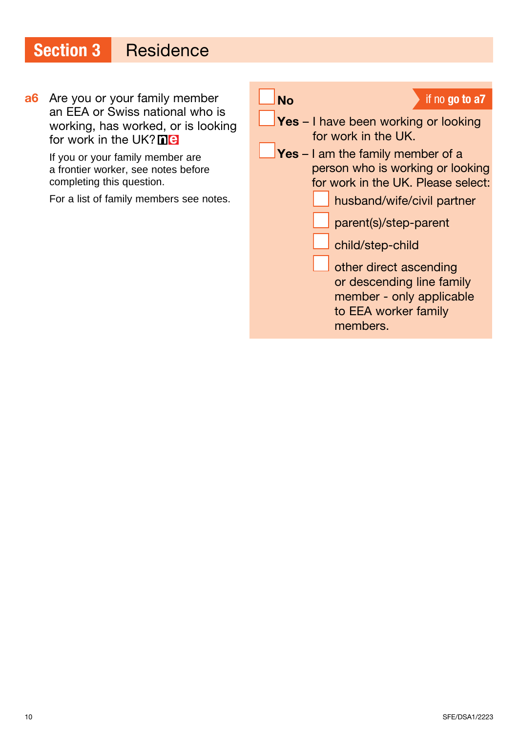**a6** Are you or your family member an EEA or Swiss national who is working, has worked, or is looking for work in the UK? $\blacksquare$ 

> If you or your family member are a frontier worker, see notes before completing this question.

For a list of family members see notes.

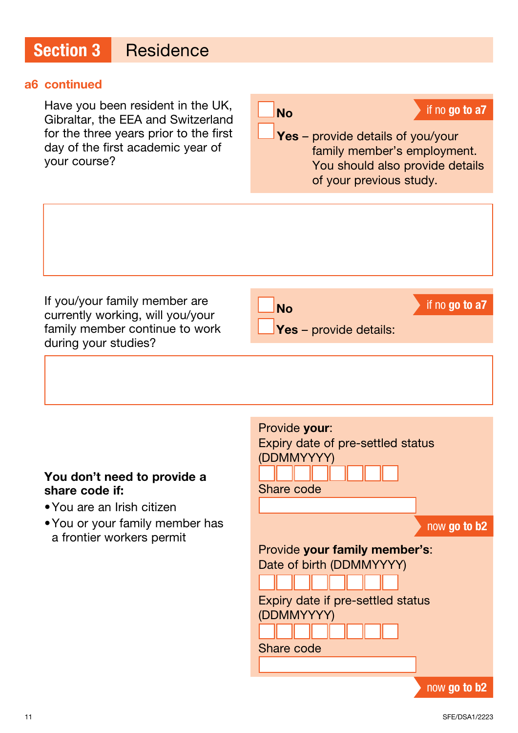#### a6 continued

Have you been resident in the UK, Gibraltar, the EEA and Switzerland for the three years prior to the first day of the first academic year of your course?

 $N<sub>O</sub>$  if no go to a7

Yes - provide details of you/your family member's employment. You should also provide details of your previous study.

If you/your family member are currently working, will you/your family member continue to work during your studies?



No if no go to a7

#### You don't need to provide a share code if:

- •You are an Irish citizen
- •You or your family member has a frontier workers permit

| Provide your:                     |
|-----------------------------------|
| Expiry date of pre-settled status |
| (DDMMYYYY)                        |
|                                   |
| Share code                        |
|                                   |
| now go to b2                      |
| Provide your family member's:     |
| Date of birth (DDMMYYYY)          |
|                                   |
| Expiry date if pre-settled status |
| (DDMMYYYY)                        |
|                                   |
| <b>Share code</b>                 |
|                                   |
| now <b>go to b2</b>               |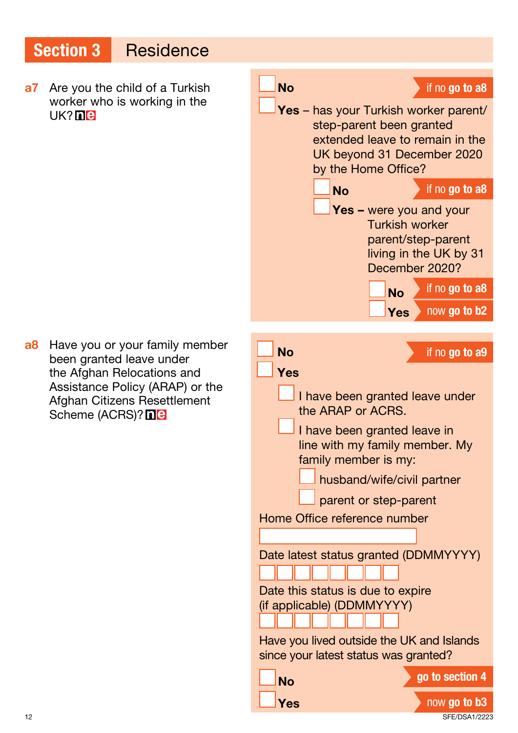a7 Are you the child of a Turkish worker who is working in the UK? **ne** 



**a8** Have you or your family member been granted leave under the Afghan Relocations and Assistance Policy (ARAP) or the Afghan Citizens Resettlement Scheme (ACRS)? **Ne**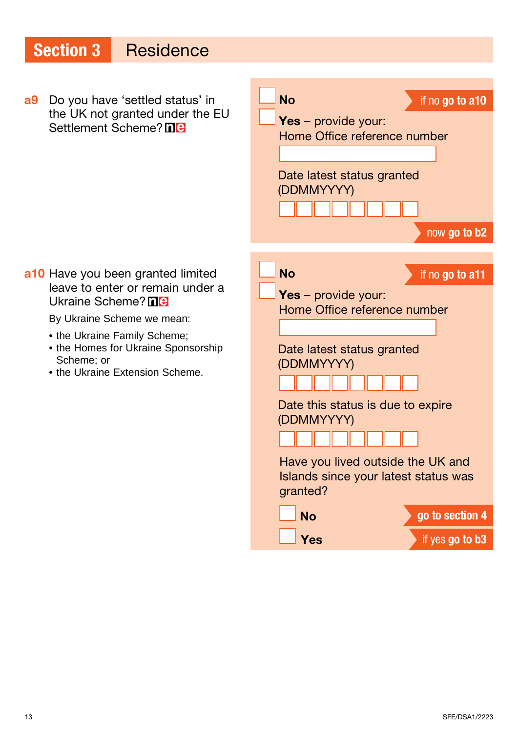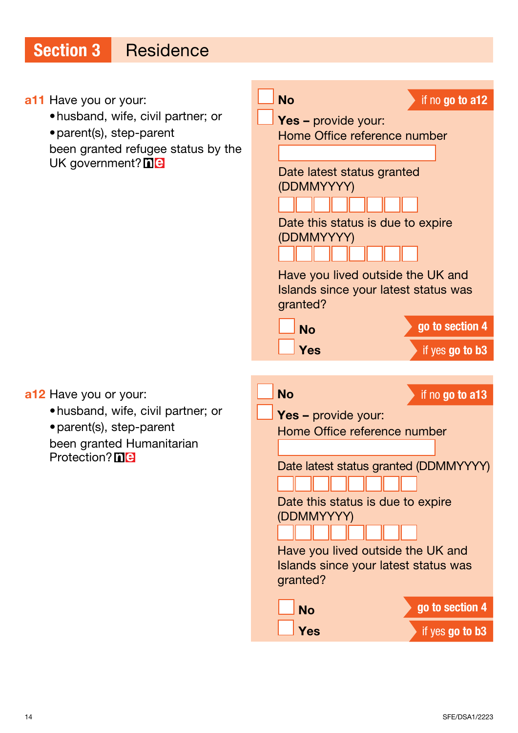#### a11 Have you or your:

- •husband, wife, civil partner; or
- •parent(s), step-parent

been granted refugee status by the UK government? **ne** 

![](_page_13_Picture_5.jpeg)

**Yes** if yes go to b3

a12 Have you or your:

- •husband, wife, civil partner; or
- •parent(s), step-parent

been granted Humanitarian Protection? **ne**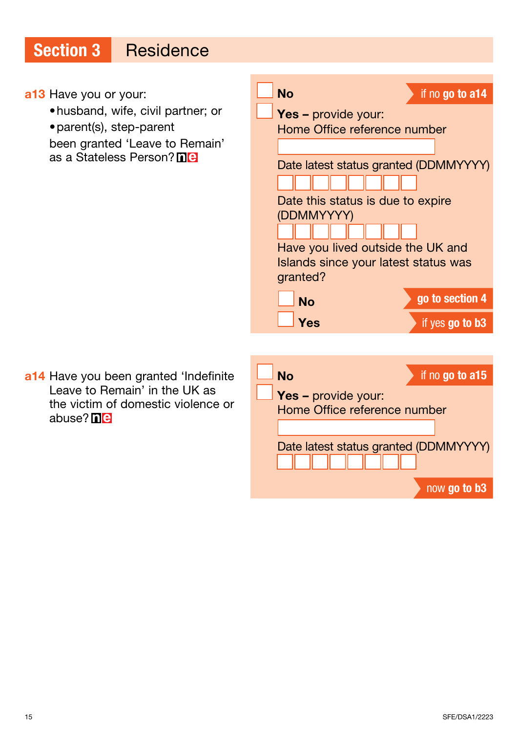a13 Have you or your: •husband, wife, civil partner; or •parent(s), step-parent been granted 'Leave to Remain' as a Stateless Person? **nie** No if no go to a14 Yes – provide your: Home Office reference number Date latest status granted (DDMMYYYY) Date this status is due to expire (DDMMYYYY) Have you lived outside the UK and Islands since your latest status was granted? No go to section 4 **Yes** if yes go to b3 a14 Have you been granted 'Indefinite Leave to Remain' in the UK as the victim of domestic violence or abuse? **ne** No if no go to a15 Yes – provide your: Home Office reference number Date latest status granted (DDMMYYYY)

now go to b3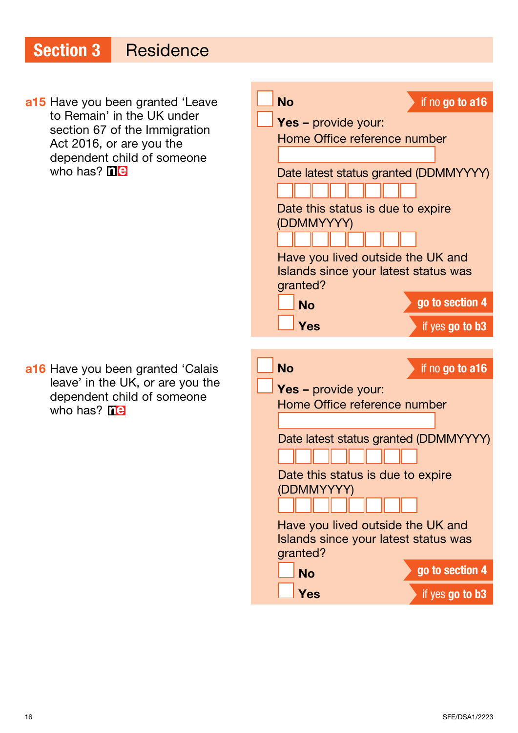a15 Have you been granted 'Leave to Remain' in the UK under section 67 of the Immigration Act 2016, or are you the dependent child of someone who has?  $\overline{\text{n}}$ e

a16 Have you been granted 'Calais leave' in the UK, or are you the dependent child of someone who has?  $\mathbf{he}$ 

![](_page_15_Picture_3.jpeg)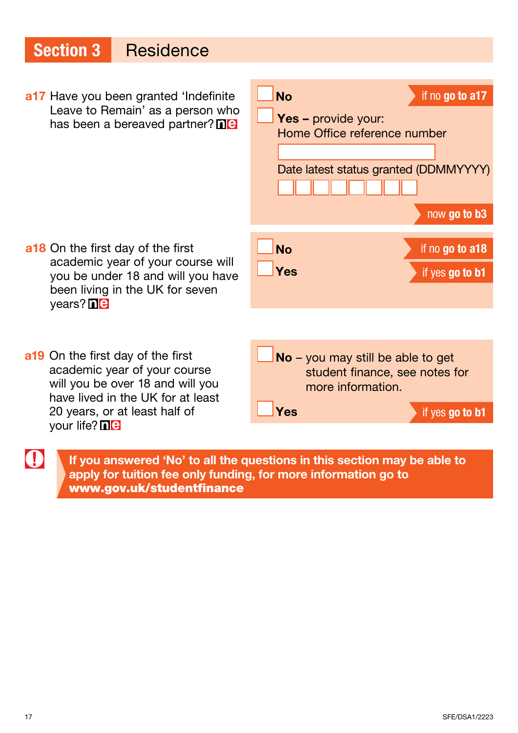a17 Have you been granted 'Indefinite Leave to Remain' as a person who has been a bereaved partner? **ne** 

![](_page_16_Figure_2.jpeg)

academic year of your course will you be under 18 and will you have been living in the UK for seven vears? **ne** 

a18 On the first day of the first

- a19 On the first day of the first academic year of your course will you be over 18 and will you have lived in the UK for at least 20 years, or at least half of your life? **ne** 
	- If you answered 'No' to all the questions in this section may be able to apply for tuition fee only funding, for more information go to [www.gov.uk/studentfinance](http://www.gov.uk/studentfinance)

0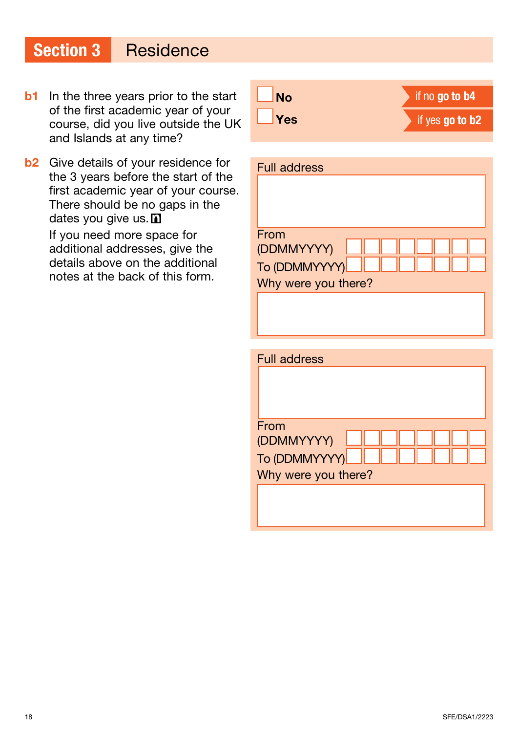- **b1** In the three years prior to the start of the first academic year of your course, did you live outside the UK and Islands at any time?
- **b2** Give details of your residence for the 3 years before the start of the first academic year of your course. There should be no gaps in the dates you give us. D If you need more space for

additional addresses, give the details above on the additional notes at the back of this form.

| No         | if no go to b4  |
|------------|-----------------|
| $\Box$ Yes | if yes go to b2 |

| <b>Full address</b> |
|---------------------|
|                     |
|                     |
|                     |
| From<br>(DDMMYYYY)  |
| To (DDMMYYYY)       |
| Why were you there? |
|                     |
|                     |
|                     |
| <b>Full address</b> |
|                     |
|                     |

| From                |  |  |
|---------------------|--|--|
| (DDMMYYYY)          |  |  |
| To (DDMMYYYY)       |  |  |
| Why were you there? |  |  |
|                     |  |  |
|                     |  |  |
|                     |  |  |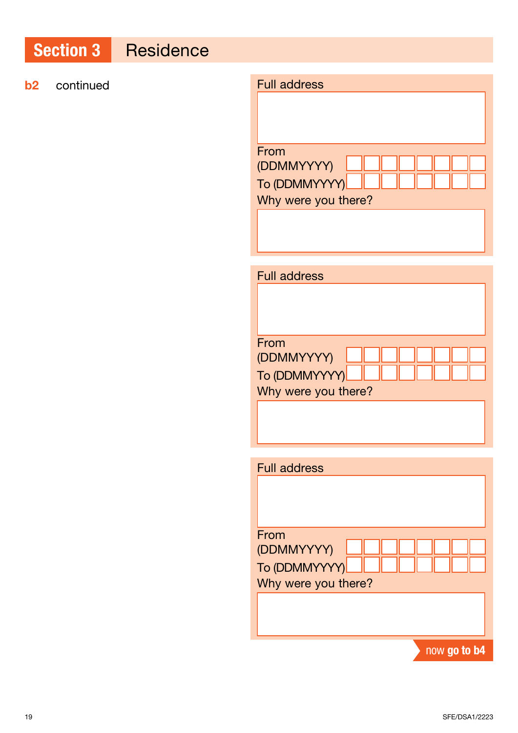### **b2** continued

| <b>Full address</b>                                        |
|------------------------------------------------------------|
| From<br>(DDMMYYYY)<br>To (DDMMYYYY)<br>Why were you there? |
|                                                            |

| <b>Full address</b> |  |  |  |
|---------------------|--|--|--|
|                     |  |  |  |
|                     |  |  |  |
|                     |  |  |  |
| From                |  |  |  |
| (DDMMYYYY)          |  |  |  |
| To (DDMMYYYY)       |  |  |  |
| Why were you there? |  |  |  |
|                     |  |  |  |
|                     |  |  |  |
|                     |  |  |  |

| <b>Full address</b> |              |
|---------------------|--------------|
|                     |              |
|                     |              |
|                     |              |
| From                |              |
| (DDMMYYYY)          |              |
| To (DDMMYYYY)       |              |
| Why were you there? |              |
|                     |              |
|                     |              |
|                     |              |
|                     | now go to b4 |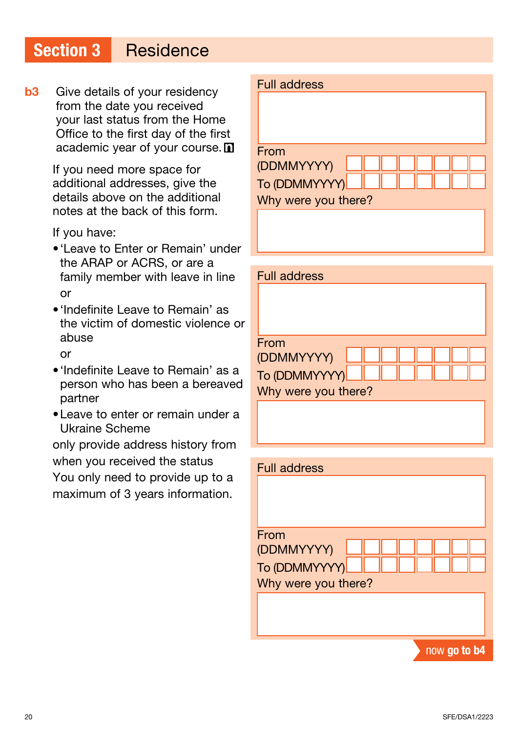**b3** Give details of your residency from the date you received your last status from the Home Office to the first day of the first academic year of your course. n

> If you need more space for additional addresses, give the details above on the additional notes at the back of this form.

If you have:

- •'Leave to Enter or Remain' under the ARAP or ACRS, or are a family member with leave in line or
- •'Indefinite Leave to Remain' as the victim of domestic violence or abuse

or

- •'Indefinite Leave to Remain' as a person who has been a bereaved partner
- •Leave to enter or remain under a Ukraine Scheme

only provide address history from when you received the status You only need to provide up to a maximum of 3 years information.

| <b>Full address</b> |
|---------------------|
|                     |
| From                |
| (DDMMYYYY)          |
| To (DDMMYYYY)       |
| Why were you there? |
|                     |
|                     |

| <b>Full address</b> |  |
|---------------------|--|
|                     |  |
|                     |  |
|                     |  |
| From                |  |
| (DDMMYYYY)          |  |
| To (DDMMYYYY)       |  |
| Why were you there? |  |
|                     |  |
|                     |  |
|                     |  |

| <b>Full address</b> |              |
|---------------------|--------------|
|                     |              |
|                     |              |
|                     |              |
| From                |              |
| (DDMMYYYY)          |              |
| To (DDMMYYYY)       |              |
| Why were you there? |              |
|                     |              |
|                     |              |
|                     |              |
|                     | now go to b4 |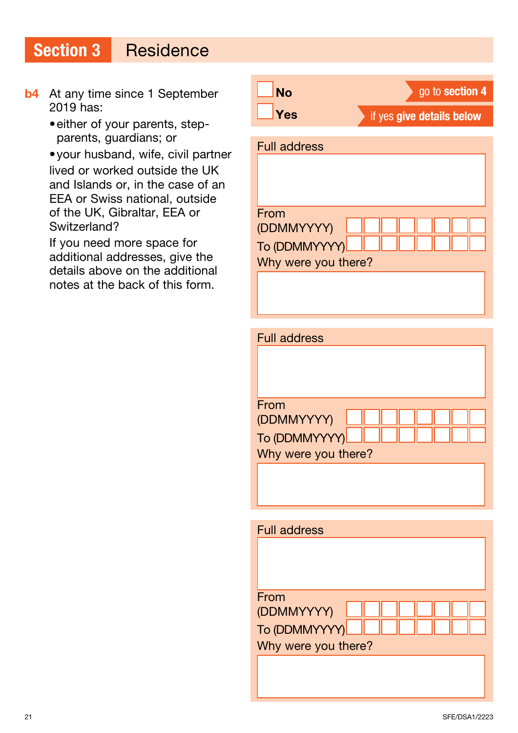- **b4** At any time since 1 September 2019 has:
	- •either of your parents, stepparents, guardians; or

•your husband, wife, civil partner lived or worked outside the UK and Islands or, in the case of an EEA or Swiss national, outside of the UK, Gibraltar, EEA or Switzerland?

If you need more space for additional addresses, give the details above on the additional notes at the back of this form.

| <b>No</b>                                                  | go to section 4           |
|------------------------------------------------------------|---------------------------|
| Yes                                                        | if yes give details below |
| <b>Full address</b>                                        |                           |
| From<br>(DDMMYYYY)<br>To (DDMMYYYY)<br>Why were you there? |                           |
|                                                            |                           |

| <b>Full address</b> |  |
|---------------------|--|
|                     |  |
|                     |  |
|                     |  |
| From                |  |
| (DDMMYYYY)          |  |
| To (DDMMYYYY)       |  |
| Why were you there? |  |
|                     |  |
|                     |  |
|                     |  |

| <b>Full address</b> |
|---------------------|
|                     |
|                     |
|                     |
| From                |
| (DDMMYYYY)          |
| To (DDMMYYYY)       |
| Why were you there? |
|                     |
|                     |
|                     |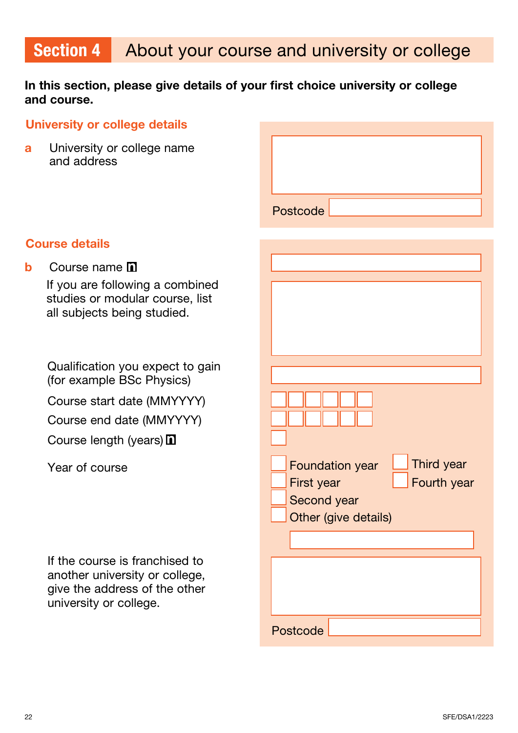#### In this section, please give details of your first choice university or college and course.

#### University or college details

**a** University or college name and address

| Postcode |  |  |
|----------|--|--|

#### Course details

**b** Course name **n** 

If you are following a combined studies or modular course, list all subjects being studied.

Qualification you expect to gain (for example BSc Physics) Course start date (MMYYYY)

Course end date (MMYYYY)

Course length (years)  $\blacksquare$ 

Year of course

If the course is franchised to another university or college, give the address of the other university or college.

| Third year<br><b>Foundation year</b> |  |
|--------------------------------------|--|
| Fourth year<br>First year            |  |
| Second year                          |  |
| Other (give details)                 |  |
|                                      |  |
|                                      |  |
|                                      |  |
|                                      |  |
|                                      |  |
|                                      |  |
| Postcode                             |  |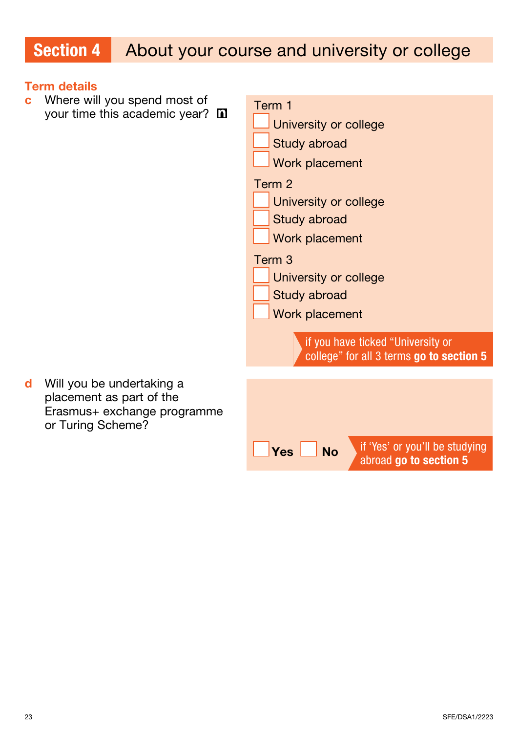# Section 4 About your course and university or college

#### Term details

c Where will you spend most of your time this academic year?  $\square$ 

| Term 1                                                                        |  |  |
|-------------------------------------------------------------------------------|--|--|
| <b>University or college</b>                                                  |  |  |
| Study abroad                                                                  |  |  |
| <b>Work placement</b>                                                         |  |  |
| Term 2                                                                        |  |  |
| University or college                                                         |  |  |
| <b>Study abroad</b>                                                           |  |  |
| <b>Work placement</b>                                                         |  |  |
| Term 3                                                                        |  |  |
| University or college                                                         |  |  |
| Study abroad                                                                  |  |  |
| <b>Work placement</b>                                                         |  |  |
| if you have ticked "University or<br>college" for all 3 terms go to section 5 |  |  |
|                                                                               |  |  |
|                                                                               |  |  |
|                                                                               |  |  |
| if 'Yes' or you'll be studying<br>Yes<br>Nο                                   |  |  |

abroad go to section 5

d Will you be undertaking a placement as part of the Erasmus+ exchange programme or Turing Scheme?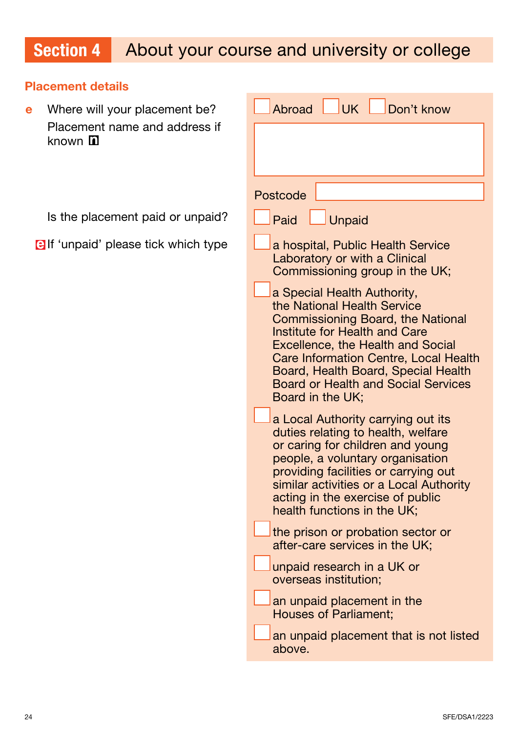# Section 4 About your course and university or college

#### Placement details

e Where will your placement be? Placement name and address if known  $\mathbf{\Omega}$ 

Is the placement paid or unpaid?

**BIf 'unpaid' please tick which type** 

| UK<br>Don't know<br><b>Abroad</b>                                                                                                                                                                                                                                                                                                                   |
|-----------------------------------------------------------------------------------------------------------------------------------------------------------------------------------------------------------------------------------------------------------------------------------------------------------------------------------------------------|
|                                                                                                                                                                                                                                                                                                                                                     |
|                                                                                                                                                                                                                                                                                                                                                     |
| Postcode                                                                                                                                                                                                                                                                                                                                            |
| Paid<br>$\Box$ Unpaid                                                                                                                                                                                                                                                                                                                               |
| a hospital, Public Health Service<br>Laboratory or with a Clinical<br>Commissioning group in the UK;                                                                                                                                                                                                                                                |
| a Special Health Authority,<br>the National Health Service<br><b>Commissioning Board, the National</b><br><b>Institute for Health and Care</b><br><b>Excellence, the Health and Social</b><br><b>Care Information Centre, Local Health</b><br>Board, Health Board, Special Health<br><b>Board or Health and Social Services</b><br>Board in the UK; |
| a Local Authority carrying out its<br>duties relating to health, welfare<br>or caring for children and young<br>people, a voluntary organisation<br>providing facilities or carrying out<br>similar activities or a Local Authority<br>acting in the exercise of public<br>health functions in the UK;                                              |
| the prison or probation sector or<br>after-care services in the UK;                                                                                                                                                                                                                                                                                 |
| unpaid research in a UK or<br>overseas institution;                                                                                                                                                                                                                                                                                                 |
| an unpaid placement in the<br><b>Houses of Parliament;</b>                                                                                                                                                                                                                                                                                          |
| an unpaid placement that is not listed<br>above.                                                                                                                                                                                                                                                                                                    |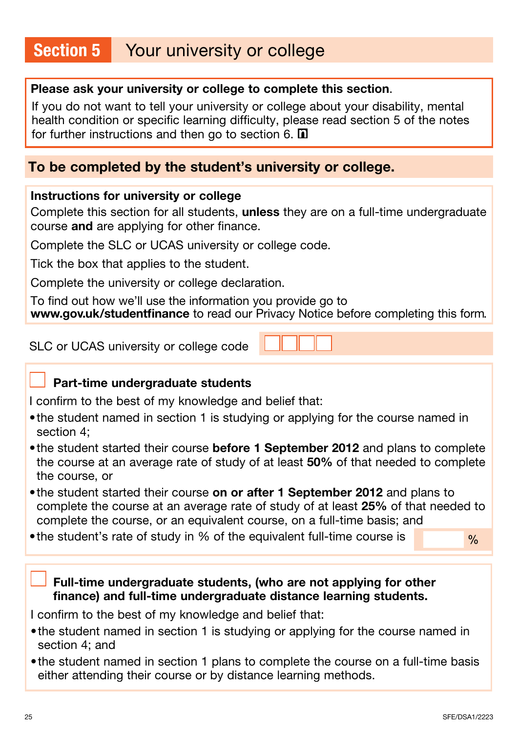# Section 5 Your university or college

#### Please ask your university or college to complete this section.

If you do not want to tell your university or college about your disability, mental health condition or specific learning difficulty, please read section 5 of the notes for further instructions and then go to section 6.  $\blacksquare$ 

#### To be completed by the student's university or college.

#### Instructions for university or college

Complete this section for all students, unless they are on a full-time undergraduate course and are applying for other finance.

Complete the SLC or UCAS university or college code.

Tick the box that applies to the student.

Complete the university or college declaration.

To find out how we'll use the information you provide go to [www.gov.uk/studentfinance](http://www.gov.uk/studentfinance) to read our Privacy Notice before completing this form.

SLC or UCAS university or college code

#### Part-time undergraduate students

I confirm to the best of my knowledge and belief that:

- the student named in section 1 is studying or applying for the course named in section 4;
- the student started their course before 1 September 2012 and plans to complete the course at an average rate of study of at least 50% of that needed to complete the course, or
- the student started their course on or after 1 September 2012 and plans to complete the course at an average rate of study of at least 25% of that needed to complete the course, or an equivalent course, on a full-time basis; and
- •the student's rate of study in % of the equivalent full-time course is

 $\frac{0}{0}$ 

Full-time undergraduate students, (who are not applying for other finance) and full-time undergraduate distance learning students.

I confirm to the best of my knowledge and belief that:

- the student named in section 1 is studying or applying for the course named in section 4; and
- •the student named in section 1 plans to complete the course on a full-time basis either attending their course or by distance learning methods.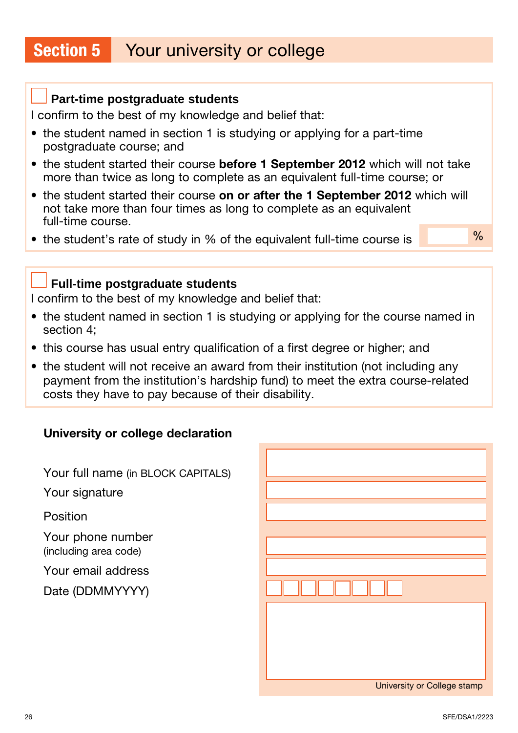### Section 5 Your university or college

#### **Part-time postgraduate students**

I confirm to the best of my knowledge and belief that:

- the student named in section 1 is studying or applying for a part-time postgraduate course; and
- the student started their course before 1 September 2012 which will not take more than twice as long to complete as an equivalent full-time course; or
- the student started their course on or after the 1 September 2012 which will not take more than four times as long to complete as an equivalent full-time course.
- the student's rate of study in % of the equivalent full-time course is

 $\frac{0}{0}$ 

#### **Full-time postgraduate students**

I confirm to the best of my knowledge and belief that:

- the student named in section 1 is studying or applying for the course named in section 4;
- this course has usual entry qualification of a first degree or higher; and
- the student will not receive an award from their institution (not including any payment from the institution's hardship fund) to meet the extra course-related costs they have to pay because of their disability.

#### University or college declaration

Your full name (in BLOCK CAPITALS)

Your signature

Position

Your phone number (including area code)

Your email address

Date (DDMMYYYY)

| University or College stamp |
|-----------------------------|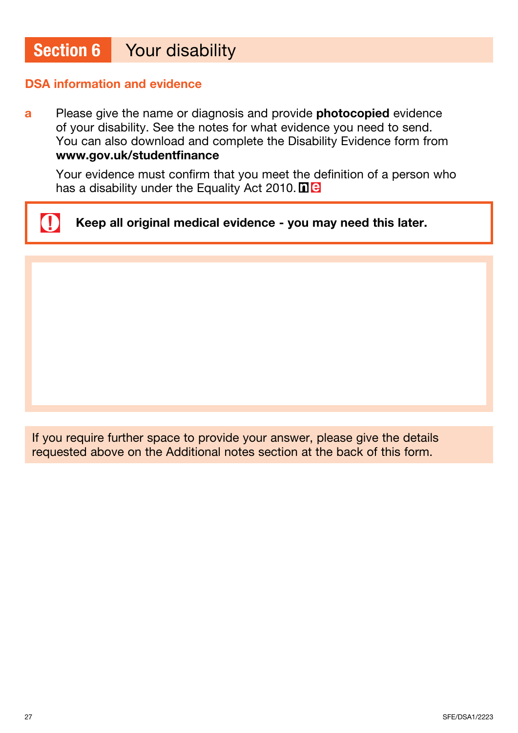## Section 6 Your disability

#### DSA information and evidence

a Please give the name or diagnosis and provide photocopied evidence of your disability. See the notes for what evidence you need to send. You can also download and complete the Disability Evidence form from [www.gov.uk/studentfinance](http://www.gov.uk/studentfinance)

 Your evidence must confirm that you meet the definition of a person who has a disability under the Equality Act 2010. **net** 

 $\mathbf 0$ Keep all original medical evidence - you may need this later.

If you require further space to provide your answer, please give the details requested above on the Additional notes section at the back of this form.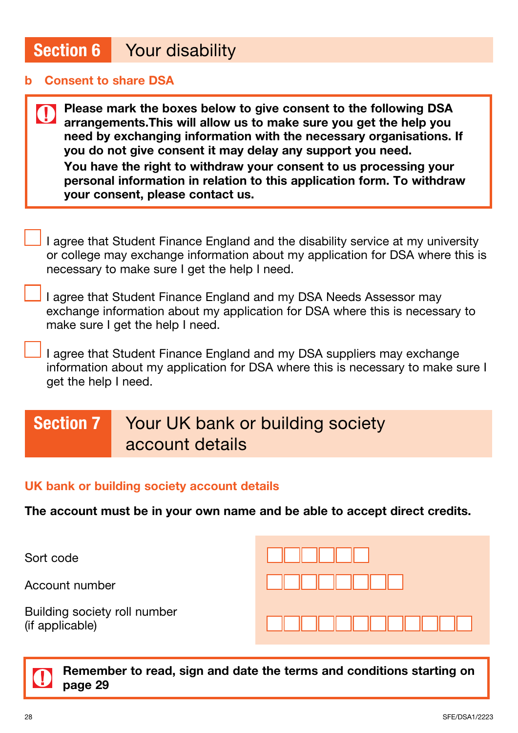### Section 6 Your disability

#### **Consent to share DSA**

 $\mathbf 0$ 

Please mark the boxes below to give consent to the following DSA arrangements.This will allow us to make sure you get the help you need by exchanging information with the necessary organisations. If you do not give consent it may delay any support you need. You have the right to withdraw your consent to us processing your personal information in relation to this application form. To withdraw your consent, please contact us.

I agree that Student Finance England and the disability service at my university or college may exchange information about my application for DSA where this is necessary to make sure I get the help I need.

I agree that Student Finance England and my DSA Needs Assessor may exchange information about my application for DSA where this is necessary to make sure I get the help I need.

I agree that Student Finance England and my DSA suppliers may exchange information about my application for DSA where this is necessary to make sure I get the help I need.

# Section 7 Your UK bank or building society account details

#### UK bank or building society account details

The account must be in your own name and be able to accept direct credits.

Sort code

Account number

Building society roll number (if applicable)

![](_page_27_Picture_13.jpeg)

Remember to read, sign and date the terms and conditions starting on page 29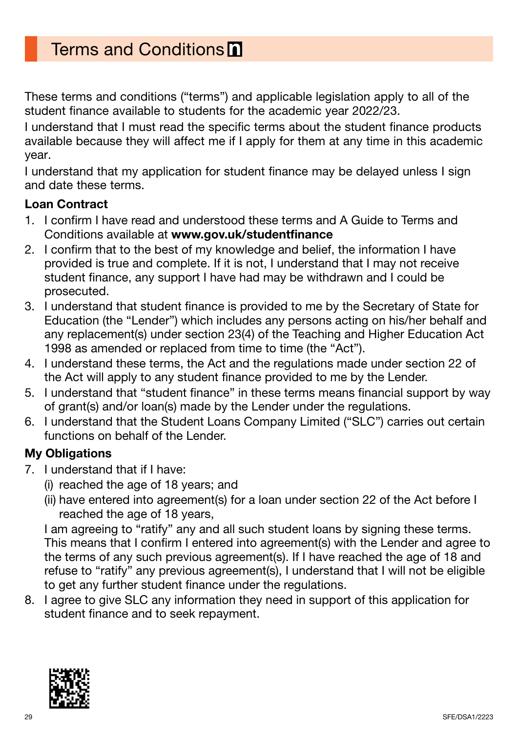These terms and conditions ("terms") and applicable legislation apply to all of the student finance available to students for the academic year 2022/23.

I understand that I must read the specific terms about the student finance products available because they will affect me if I apply for them at any time in this academic year.

I understand that my application for student finance may be delayed unless I sign and date these terms.

#### Loan Contract

- 1. I confirm I have read and understood these terms and A Guide to Terms and Conditions available at [www.gov.uk/studentfinance](http://www.gov.uk/studentfinance)
- 2. I confirm that to the best of my knowledge and belief, the information I have provided is true and complete. If it is not, I understand that I may not receive student finance, any support I have had may be withdrawn and I could be prosecuted.
- 3. I understand that student finance is provided to me by the Secretary of State for Education (the "Lender") which includes any persons acting on his/her behalf and any replacement(s) under section 23(4) of the Teaching and Higher Education Act 1998 as amended or replaced from time to time (the "Act").
- 4. I understand these terms, the Act and the regulations made under section 22 of the Act will apply to any student finance provided to me by the Lender.
- 5. I understand that "student finance" in these terms means financial support by way of grant(s) and/or loan(s) made by the Lender under the regulations.
- 6. I understand that the Student Loans Company Limited ("SLC") carries out certain functions on behalf of the Lender.

#### My Obligations

- 7. I understand that if I have:
	- (i) reached the age of 18 years; and
		- (ii) have entered into agreement(s) for a loan under section 22 of the Act before I reached the age of 18 years,

I am agreeing to "ratify" any and all such student loans by signing these terms. This means that I confirm I entered into agreement(s) with the Lender and agree to the terms of any such previous agreement(s). If I have reached the age of 18 and refuse to "ratify" any previous agreement(s), I understand that I will not be eligible to get any further student finance under the regulations.

8. I agree to give SLC any information they need in support of this application for student finance and to seek repayment.

![](_page_28_Picture_17.jpeg)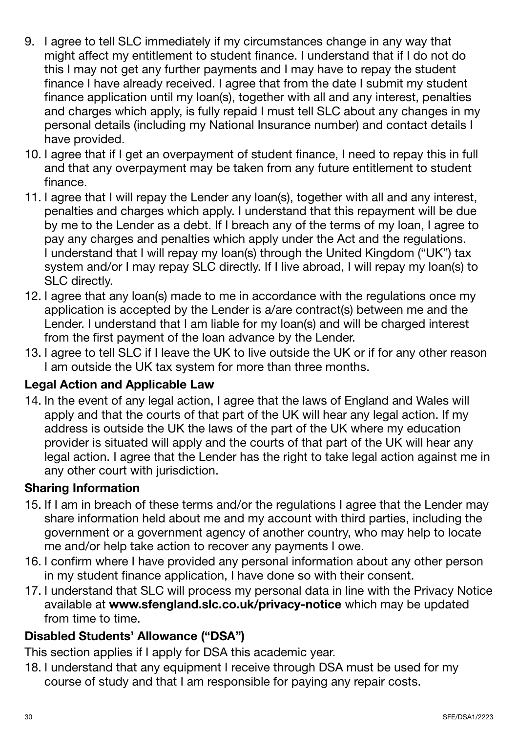- 9. I agree to tell SLC immediately if my circumstances change in any way that might affect my entitlement to student finance. I understand that if I do not do this I may not get any further payments and I may have to repay the student finance I have already received. I agree that from the date I submit my student finance application until my loan(s), together with all and any interest, penalties and charges which apply, is fully repaid I must tell SLC about any changes in my personal details (including my National Insurance number) and contact details I have provided.
- 10. I agree that if I get an overpayment of student finance, I need to repay this in full and that any overpayment may be taken from any future entitlement to student finance.
- 11. I agree that I will repay the Lender any loan(s), together with all and any interest, penalties and charges which apply. I understand that this repayment will be due by me to the Lender as a debt. If I breach any of the terms of my loan, I agree to pay any charges and penalties which apply under the Act and the regulations. I understand that I will repay my loan(s) through the United Kingdom ("UK") tax system and/or I may repay SLC directly. If I live abroad, I will repay my loan(s) to SLC directly.
- 12. I agree that any loan(s) made to me in accordance with the regulations once my application is accepted by the Lender is a/are contract(s) between me and the Lender. I understand that I am liable for my loan(s) and will be charged interest from the first payment of the loan advance by the Lender.
- 13. I agree to tell SLC if I leave the UK to live outside the UK or if for any other reason I am outside the UK tax system for more than three months.

#### Legal Action and Applicable Law

14. In the event of any legal action, I agree that the laws of England and Wales will apply and that the courts of that part of the UK will hear any legal action. If my address is outside the UK the laws of the part of the UK where my education provider is situated will apply and the courts of that part of the UK will hear any legal action. I agree that the Lender has the right to take legal action against me in any other court with jurisdiction.

#### Sharing Information

- 15. If I am in breach of these terms and/or the regulations I agree that the Lender may share information held about me and my account with third parties, including the government or a government agency of another country, who may help to locate me and/or help take action to recover any payments I owe.
- 16. I confirm where I have provided any personal information about any other person in my student finance application, I have done so with their consent.
- 17. I understand that SLC will process my personal data in line with the Privacy Notice available at [www.sfengland.slc.co.uk/privacy-notice](http://www.sfengland.slc.co.uk/privacy-notice) which may be updated from time to time.

#### Disabled Students' Allowance ("DSA")

This section applies if I apply for DSA this academic year.

18. I understand that any equipment I receive through DSA must be used for my course of study and that I am responsible for paying any repair costs.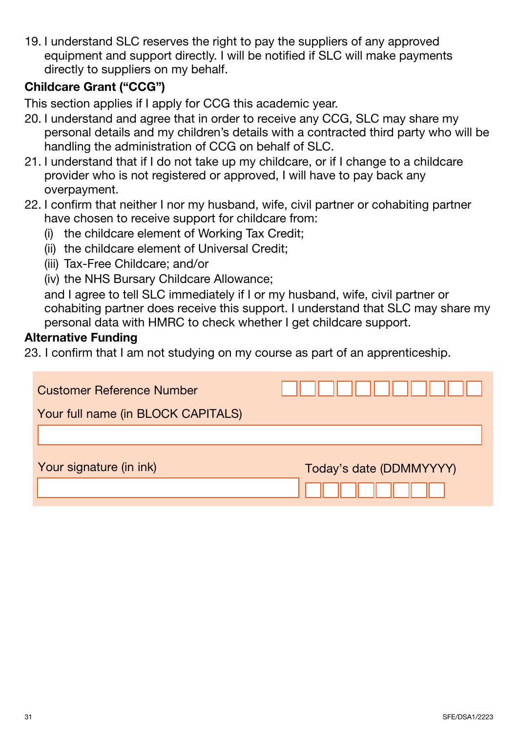19. I understand SLC reserves the right to pay the suppliers of any approved equipment and support directly. I will be notified if SLC will make payments directly to suppliers on my behalf.

#### Childcare Grant ("CCG")

This section applies if I apply for CCG this academic year.

- 20. I understand and agree that in order to receive any CCG, SLC may share my personal details and my children's details with a contracted third party who will be handling the administration of CCG on behalf of SLC.
- 21. I understand that if I do not take up my childcare, or if I change to a childcare provider who is not registered or approved, I will have to pay back any overpayment.
- 22. I confirm that neither I nor my husband, wife, civil partner or cohabiting partner have chosen to receive support for childcare from:
	- (i) the childcare element of Working Tax Credit;
	- (ii) the childcare element of Universal Credit;
	- (iii) Tax-Free Childcare; and/or
	- (iv) the NHS Bursary Childcare Allowance;

and I agree to tell SLC immediately if I or my husband, wife, civil partner or cohabiting partner does receive this support. I understand that SLC may share my personal data with HMRC to check whether I get childcare support.

#### Alternative Funding

23. I confirm that I am not studying on my course as part of an apprenticeship.

| <b>Customer Reference Number</b><br>Your full name (in BLOCK CAPITALS) | .                       |
|------------------------------------------------------------------------|-------------------------|
| Your signature (in ink)                                                | Today's date (DDMMYYYY) |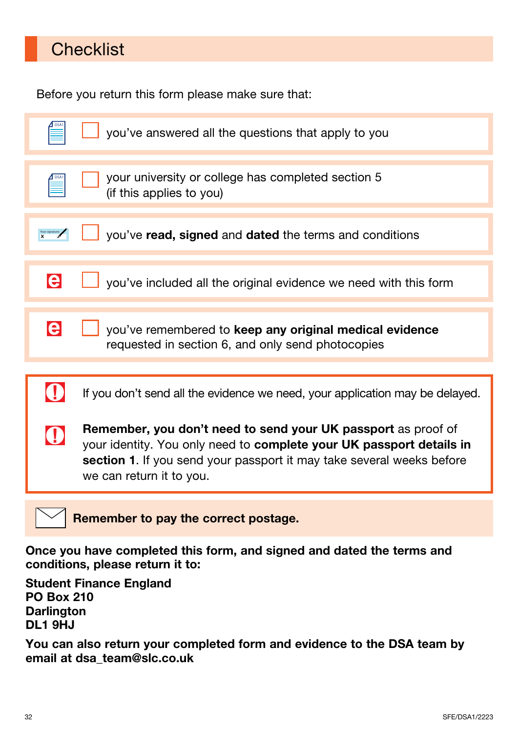# **Checklist**

Before you return this form please make sure that:

|                                      | you've answered all the questions that apply to you                                                                                                                                                                                               |
|--------------------------------------|---------------------------------------------------------------------------------------------------------------------------------------------------------------------------------------------------------------------------------------------------|
|                                      | your university or college has completed section 5<br>(if this applies to you)                                                                                                                                                                    |
|                                      | you've read, signed and dated the terms and conditions                                                                                                                                                                                            |
| le                                   | you've included all the original evidence we need with this form                                                                                                                                                                                  |
| le                                   | you've remembered to keep any original medical evidence<br>requested in section 6, and only send photocopies                                                                                                                                      |
|                                      | If you don't send all the evidence we need, your application may be delayed.                                                                                                                                                                      |
| $\mathbf 0$                          | <b>Remember, you don't need to send your UK passport as proof of</b><br>your identity. You only need to complete your UK passport details in<br>section 1. If you send your passport it may take several weeks before<br>we can return it to you. |
| Remember to pay the correct postage. |                                                                                                                                                                                                                                                   |

Once you have completed this form, and signed and dated the terms and conditions, please return it to:

Student Finance England PO Box 210 **Darlington** DL1 9HJ

You can also return your completed form and evidence to the DSA team by email at [dsa\\_team@slc.co.uk](mailto:dsa_team%40slc.co.uk?subject=)